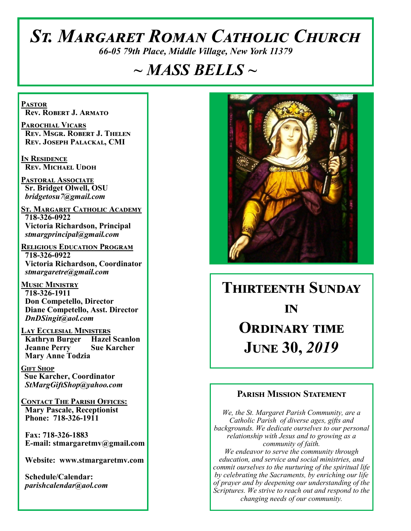# *St. Margaret Roman Catholic Church*

*66-05 79th Place, Middle Village, New York 11379*

# *~ MASS BELLS ~*

**Pastor Rev. Robert J. Armato**

**Parochial Vicars Rev. Msgr. Robert J. Thelen Rev. Joseph Palackal, CMI**

**In Residence Rev. Michael Udoh**

**Pastoral Associate Sr. Bridget Olwell, OSU**  *bridgetosu7@gmail.com*

**St. Margaret Catholic Academy 718-326-0922 Victoria Richardson, Principal**  *stmargprincipal@gmail.com*

**Religious Education Program 718-326-0922 Victoria Richardson, Coordinator** *stmargaretre@gmail.com*

**Music Ministry 718-326-1911 Don Competello, Director Diane Competello, Asst. Director** *DnDSingit@aol.com*

**Lay Ecclesial Ministers Kathryn Burger Jeanne Perry Sue Karcher Mary Anne Todzia**

**Gift Shop Sue Karcher, Coordinator** *StMargGiftShop@yahoo.com*

**Contact The Parish Offices: Mary Pascale, Receptionist Phone: 718-326-1911** 

 **Fax: 718-326-1883 E-mail: stmargaretmv@gmail.com**

 **Website: www.stmargaretmv.com**

 **Schedule/Calendar:** *parishcalendar@aol.com* 



# **Thirteenth Sunday** *in* **Ordinary time**

**June 30,** *2019* 

### **Parish Mission Statement**

*We, the St. Margaret Parish Community, are a Catholic Parish of diverse ages, gifts and backgrounds. We dedicate ourselves to our personal relationship with Jesus and to growing as a community of faith. We endeavor to serve the community through education, and service and social ministries, and commit ourselves to the nurturing of the spiritual life by celebrating the Sacraments, by enriching our life* 

*of prayer and by deepening our understanding of the Scriptures. We strive to reach out and respond to the changing needs of our community.*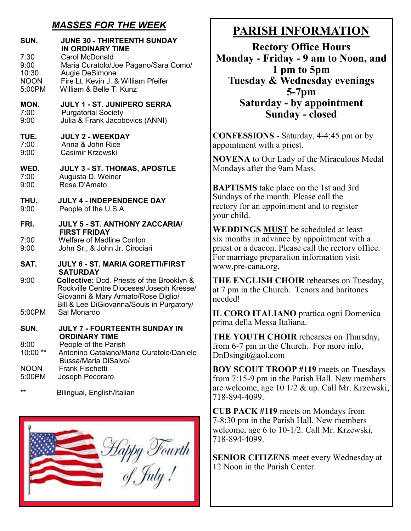# *MASSES FOR THE WEEK*

| SUN.                                           | <b>JUNE 30 - THIRTEENTH SUNDAY</b><br><b>IN ORDINARY TIME</b>                                                                                                              |
|------------------------------------------------|----------------------------------------------------------------------------------------------------------------------------------------------------------------------------|
| 7:30<br>9:00<br>10:30<br><b>NOON</b><br>5:00PM | Carol McDonald<br>Maria Curatolo/Joe Pagano/Sara Como/<br>Augie DeSimone<br>Fire Lt. Kevin J. & William Pfeifer<br>William & Belle T. Kunz                                 |
| MON.<br>7:00<br>9:00                           | <b>JULY 1 - ST. JUNIPERO SERRA</b><br><b>Purgatorial Society</b><br>Julia & Frank Jacobovics (ANNI)                                                                        |
| TUE.<br>7:00<br>9:00                           | <b>JULY 2 - WEEKDAY</b><br>Anna & John Rice<br>Casimir Krzewski                                                                                                            |
| WED.<br>7:00<br>9:00                           | JULY 3 - ST. THOMAS, APOSTLE<br>Augusta D. Weiner<br>Rose D'Amato                                                                                                          |
| THU.<br>9:00                                   | <b>JULY 4 - INDEPENDENCE DAY</b><br>People of the U.S.A.                                                                                                                   |
| FRI.                                           | JULY 5 - ST. ANTHONY ZACCARIA/<br><b>FIRST FRIDAY</b>                                                                                                                      |
| 7:00<br>9:00                                   | <b>Welfare of Madline Conlon</b><br>John Sr., & John Jr. Cirociari                                                                                                         |
| SAT.                                           | <b>JULY 6 - ST. MARIA GORETTI/FIRST</b><br><b>SATURDAY</b>                                                                                                                 |
| 9:00                                           | Collective: Dcd. Priests of the Brooklyn &<br>Rockville Centre Dioceses/Joseph Kresse/<br>Giovanni & Mary Armato/Rose Diglio/<br>Bill & Lee DiGiovanna/Souls in Purgatory/ |
| 5:00PM                                         | Sal Monardo                                                                                                                                                                |
| SUN.                                           | JULY 7 - FOURTEENTH SUNDAY IN<br><b>ORDINARY TIME</b>                                                                                                                      |
| 8:00<br>10:00                                  | People of the Parish<br>Antonino Catalano/Maria Curatolo/Daniele<br>Bussa/Maria DiSalvo/                                                                                   |
| <b>NOON</b><br>5:00PM                          | <b>Frank Fischetti</b><br>Joseph Pecoraro                                                                                                                                  |
| $***$                                          | Bilingual, English/Italian                                                                                                                                                 |



# **PARISH INFORMATION**

**Rectory Office Hours Monday - Friday - 9 am to Noon, and 1 pm to 5pm Tuesday & Wednesday evenings 5-7pm Saturday - by appointment Sunday - closed**

**CONFESSIONS** - Saturday, 4-4:45 pm or by appointment with a priest.

**NOVENA** to Our Lady of the Miraculous Medal Mondays after the 9am Mass.

**BAPTISMS** take place on the 1st and 3rd Sundays of the month. Please call the rectory for an appointment and to register your child.

**WEDDINGS MUST** be scheduled at least six months in advance by appointment with a priest or a deacon. Please call the rectory office. For marriage preparation information visit www.pre-cana.org.

**THE ENGLISH CHOIR** rehearses on Tuesday, at 7 pm in the Church. Tenors and baritones needed!

**IL CORO ITALIANO** prattica ogni Domenica prima della Messa Italiana.

**THE YOUTH CHOIR** rehearses on Thursday, from 6-7 pm in the Church. For more info, DnDsingit@aol.com

**BOY SCOUT TROOP #119** meets on Tuesdays from 7:15-9 pm in the Parish Hall. New members are welcome, age 10 1/2 & up. Call Mr. Krzewski, 718-894-4099.

**CUB PACK #119** meets on Mondays from 7-8:30 pm in the Parish Hall. New members welcome, age 6 to 10-1/2. Call Mr. Krzewski, 718-894-4099.

**SENIOR CITIZENS** meet every Wednesday at 12 Noon in the Parish Center.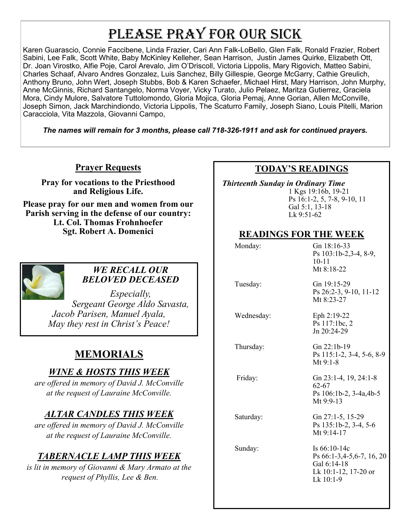# PLEASE PRAY FOR OUR SICK

Karen Guarascio, Connie Faccibene, Linda Frazier, Cari Ann Falk-LoBello, Glen Falk, Ronald Frazier, Robert Sabini, Lee Falk, Scott White, Baby McKinley Kelleher, Sean Harrison, Justin James Quirke, Elizabeth Ott, Dr. Joan Virostko, Alfie Poje, Carol Arevalo, Jim O'Driscoll, Victoria Lippolis, Mary Rigovich, Matteo Sabini, Charles Schaaf, Alvaro Andres Gonzalez, Luis Sanchez, Billy Gillespie, George McGarry, Cathie Greulich, Anthony Bruno, John Wert, Joseph Stubbs, Bob & Karen Schaefer, Michael Hirst, Mary Harrison, John Murphy, Anne McGinnis, Richard Santangelo, Norma Voyer, Vicky Turato, Julio Pelaez, Maritza Gutierrez, Graciela Mora, Cindy Mulore, Salvatore Tuttolomondo, Gloria Mojica, Gloria Pemaj, Anne Gorian, Allen McConville, Joseph Simon, Jack Marchindiondo, Victoria Lippolis, The Scaturro Family, Joseph Siano, Louis Pitelli, Marion Caracciola, Vita Mazzola, Giovanni Campo,

*The names will remain for 3 months, please call 718-326-1911 and ask for continued prayers.*

### **Prayer Requests**

**Pray for vocations to the Priesthood and Religious Life.** 

**Please pray for our men and women from our Parish serving in the defense of our country: Lt. Col. Thomas Frohnhoefer Sgt. Robert A. Domenici** 



#### *WE RECALL OUR BELOVED DECEASED*

*Especially, Sergeant George Aldo Savasta, Jacob Parisen, Manuel Ayala, May they rest in Christ's Peace!*

# **MEMORIALS**

## *WINE & HOSTS THIS WEEK*

*are offered in memory of David J. McConville at the request of Lauraine McConville.* 

# *ALTAR CANDLES THIS WEEK*

*are offered in memory of David J. McConville at the request of Lauraine McConville.* 

# *TABERNACLE LAMP THIS WEEK*

*is lit in memory of Giovanni & Mary Armato at the request of Phyllis, Lee & Ben.* 

## **TODAY'S READINGS**

 *Thirteenth Sunday in Ordinary Time*  1 Kgs 19:16b, 19-21 Ps 16:1-2, 5, 7-8, 9-10, 11 Gal 5:1, 13-18 Lk 9:51-62

### **READINGS FOR THE WEEK**

| Monday:    | Gn 18:16-33<br>Ps 103:1b-2,3-4, 8-9,<br>$10 - 11$<br>Mt 8:18-22                                   |
|------------|---------------------------------------------------------------------------------------------------|
| Tuesday:   | Gn 19:15-29<br>Ps 26:2-3, 9-10, 11-12<br>Mt 8:23-27                                               |
| Wednesday: | Eph 2:19-22<br>Ps 117:1bc, 2<br>Jn 20:24-29                                                       |
| Thursday:  | Gn 22:1b-19<br>Ps 115:1-2, 3-4, 5-6, 8-9<br>Mt $9:1-8$                                            |
| Friday:    | Gn 23:1-4, 19, 24:1-8<br>62-67<br>Ps 106:1b-2, 3-4a, 4b-5<br>Mt 9:9-13                            |
| Saturday:  | Gn 27:1-5, 15-29<br>Ps 135:1b-2, 3-4, 5-6<br>Mt 9:14-17                                           |
| Sunday:    | Is $66:10-14c$<br>Ps 66:1-3,4-5,6-7, 16, 20<br>Gal 6:14-18<br>Lk 10:1-12, 17-20 or<br>$Lk$ 10:1-9 |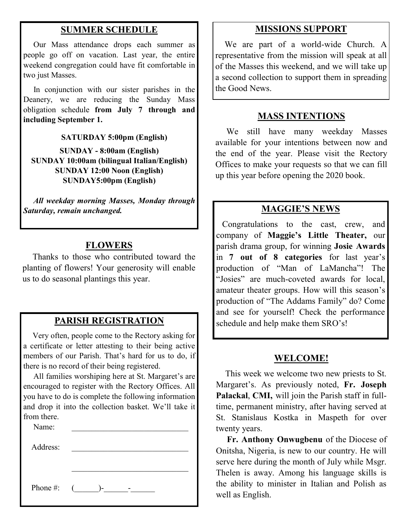#### **SUMMER SCHEDULE**

 Our Mass attendance drops each summer as people go off on vacation. Last year, the entire weekend congregation could have fit comfortable in two just Masses.

 In conjunction with our sister parishes in the Deanery, we are reducing the Sunday Mass obligation schedule **from July 7 through and including September 1.** 

**SATURDAY 5:00pm (English)**

**SUNDAY - 8:00am (English) SUNDAY 10:00am (bilingual Italian/English) SUNDAY 12:00 Noon (English) SUNDAY5:00pm (English)**

 *All weekday morning Masses, Monday through Saturday, remain unchanged.*

#### **FLOWERS**

 Thanks to those who contributed toward the planting of flowers! Your generosity will enable us to do seasonal plantings this year.

#### **PARISH REGISTRATION**

 Very often, people come to the Rectory asking for a certificate or letter attesting to their being active members of our Parish. That's hard for us to do, if there is no record of their being registered.

 All families worshiping here at St. Margaret's are encouraged to register with the Rectory Offices. All you have to do is complete the following information and drop it into the collection basket. We'll take it from there.

| Name:        |    |
|--------------|----|
| Address:     |    |
|              |    |
|              |    |
| Phone #: $($ | )- |

#### **MISSIONS SUPPORT**

 We are part of a world-wide Church. A representative from the mission will speak at all of the Masses this weekend, and we will take up a second collection to support them in spreading the Good News.

#### **MASS INTENTIONS**

We still have many weekday Masses available for your intentions between now and the end of the year. Please visit the Rectory Offices to make your requests so that we can fill up this year before opening the 2020 book.

#### **MAGGIE'S NEWS**

 Congratulations to the cast, crew, and company of **Maggie's Little Theater,** our parish drama group, for winning **Josie Awards**  in **7 out of 8 categories** for last year's production of "Man of LaMancha"! The "Josies" are much-coveted awards for local, amateur theater groups. How will this season's production of "The Addams Family" do? Come and see for yourself! Check the performance schedule and help make them SRO's!

#### **WELCOME!**

 This week we welcome two new priests to St. Margaret's. As previously noted, **Fr. Joseph Palackal**, **CMI,** will join the Parish staff in fulltime, permanent ministry, after having served at St. Stanislaus Kostka in Maspeth for over twenty years.

 **Fr. Anthony Onwugbenu** of the Diocese of Onitsha, Nigeria, is new to our country. He will serve here during the month of July while Msgr. Thelen is away. Among his language skills is the ability to minister in Italian and Polish as well as English.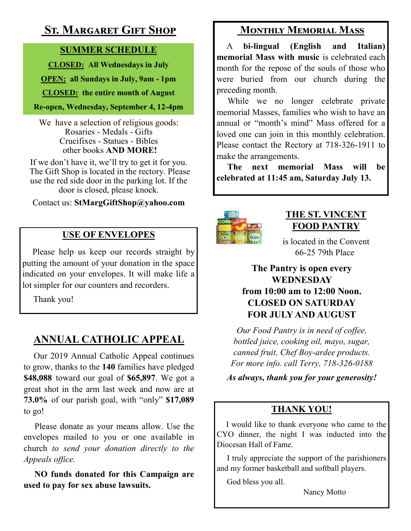# **St. Margaret Gift Shop**

## **SUMMER SCHEDULE**

**CLOSED: All Wednesdays in July**

**OPEN: all Sundays in July, 9am - 1pm**

**CLOSED: the entire month of August**

**Re-open, Wednesday, September 4, 12-4pm** 

We have a selection of religious goods: Rosaries - Medals - Gifts Crucifixes - Statues - Bibles other books **AND MORE!**

If we don't have it, we'll try to get it for you. The Gift Shop is located in the rectory. Please use the red side door in the parking lot. If the door is closed, please knock.

Contact us: **StMargGiftShop@yahoo.com**

# **USE OF ENVELOPES**

Please help us keep our records straight by putting the amount of your donation in the space indicated on your envelopes. It will make life a lot simpler for our counters and recorders.

Thank you!

# **ANNUAL CATHOLIC APPEAL**

 Our 2019 Annual Catholic Appeal continues to grow, thanks to the **140** families have pledged **\$48,088** toward our goal of **\$65,897**. We got a great shot in the arm last week and now are at **73.0%** of our parish goal, with "only" **\$17,089**  to go!

 Please donate as your means allow. Use the envelopes mailed to you or one available in church *to send your donation directly to the Appeals office.*

**NO funds donated for this Campaign are used to pay for sex abuse lawsuits.** 

# **Monthly Memorial Mass**

 A **bi-lingual (English and Italian) memorial Mass with music** is celebrated each month for the repose of the souls of those who were buried from our church during the preceding month.

 While we no longer celebrate private memorial Masses, families who wish to have an annual or "month's mind" Mass offered for a loved one can join in this monthly celebration. Please contact the Rectory at 718-326-1911 to make the arrangements.

 **The next memorial Mass will be celebrated at 11:45 am, Saturday July 13.** 



# **THE ST. VINCENT FOOD PANTRY**

is located in the Convent 66-25 79th Place

## **The Pantry is open every WEDNESDAY from 10:00 am to 12:00 Noon. CLOSED ON SATURDAY FOR JULY AND AUGUST**

*Our Food Pantry is in need of coffee, bottled juice, cooking oil, mayo, sugar, canned fruit, Chef Boy-ardee products. For more info. call Terry, 718-326-0188* 

*As always, thank you for your generosity!*

# **THANK YOU!**

 I would like to thank everyone who came to the CYO dinner, the night I was inducted into the Diocesan Hall of Fame.

 I truly appreciate the support of the parishioners and my former basketball and softball players.

God bless you all.

Nancy Motto